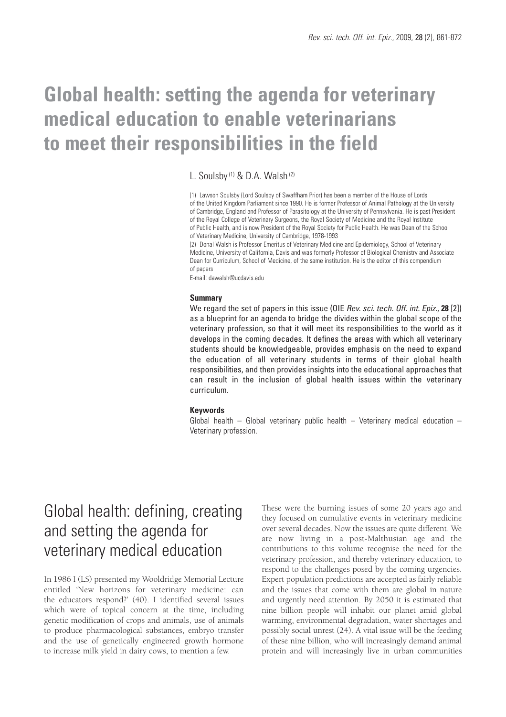# **Global health: setting the agenda for veterinary medical education to enable veterinarians to meet their responsibilities in the field**

L. Soulsby<sup>(1)</sup> & D.A. Walsh<sup>(2)</sup>

(1) Lawson Soulsby (Lord Soulsby of Swaffham Prior) has been a member of the House of Lords of the United Kingdom Parliament since 1990. He is former Professor of Animal Pathology at the University of Cambridge, England and Professor of Parasitology at the University of Pennsylvania. He is past President of the Royal College of Veterinary Surgeons, the Royal Society of Medicine and the Royal Institute of Public Health, and is now President of the Royal Society for Public Health. He was Dean of the School of Veterinary Medicine, University of Cambridge, 1978-1993

(2) Donal Walsh is Professor Emeritus of Veterinary Medicine and Epidemiology, School of Veterinary Medicine, University of California, Davis and was formerly Professor of Biological Chemistry and Associate Dean for Curriculum, School of Medicine, of the same institution. He is the editor of this compendium of papers

E-mail: dawalsh@ucdavis.edu

#### **Summary**

We regard the set of papers in this issue (OIE *Rev. sci. tech. Off. int. Epiz.*, **28** [2]) as a blueprint for an agenda to bridge the divides within the global scope of the veterinary profession, so that it will meet its responsibilities to the world as it develops in the coming decades. It defines the areas with which all veterinary students should be knowledgeable, provides emphasis on the need to expand the education of all veterinary students in terms of their global health responsibilities, and then provides insights into the educational approaches that can result in the inclusion of global health issues within the veterinary curriculum.

#### **Keywords**

Global health – Global veterinary public health – Veterinary medical education – Veterinary profession.

# Global health: defining, creating and setting the agenda for veterinary medical education

In 1986 I (LS) presented my Wooldridge Memorial Lecture entitled 'New horizons for veterinary medicine: can the educators respond?' (40). I identified several issues which were of topical concern at the time, including genetic modification of crops and animals, use of animals to produce pharmacological substances, embryo transfer and the use of genetically engineered growth hormone to increase milk yield in dairy cows, to mention a few.

These were the burning issues of some 20 years ago and they focused on cumulative events in veterinary medicine over several decades. Now the issues are quite different. We are now living in a post-Malthusian age and the contributions to this volume recognise the need for the veterinary profession, and thereby veterinary education, to respond to the challenges posed by the coming urgencies. Expert population predictions are accepted as fairly reliable and the issues that come with them are global in nature and urgently need attention. By 2050 it is estimated that nine billion people will inhabit our planet amid global warming, environmental degradation, water shortages and possibly social unrest (24). A vital issue will be the feeding of these nine billion, who will increasingly demand animal protein and will increasingly live in urban communities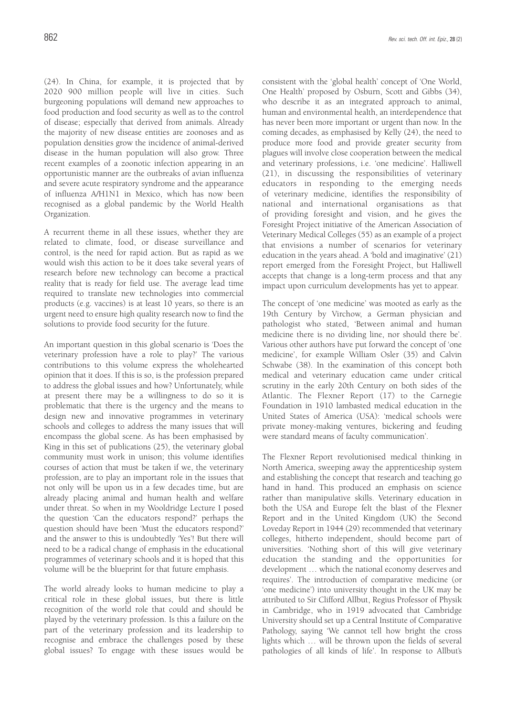(24). In China, for example, it is projected that by 2020 900 million people will live in cities. Such burgeoning populations will demand new approaches to food production and food security as well as to the control of disease; especially that derived from animals. Already the majority of new disease entities are zoonoses and as population densities grow the incidence of animal-derived disease in the human population will also grow. Three recent examples of a zoonotic infection appearing in an opportunistic manner are the outbreaks of avian influenza and severe acute respiratory syndrome and the appearance of influenza A/H1N1 in Mexico, which has now been recognised as a global pandemic by the World Health Organization.

A recurrent theme in all these issues, whether they are related to climate, food, or disease surveillance and control, is the need for rapid action. But as rapid as we would wish this action to be it does take several years of research before new technology can become a practical reality that is ready for field use. The average lead time required to translate new technologies into commercial products (e.g. vaccines) is at least 10 years, so there is an urgent need to ensure high quality research now to find the solutions to provide food security for the future.

An important question in this global scenario is 'Does the veterinary profession have a role to play?' The various contributions to this volume express the wholehearted opinion that it does. If this is so, is the profession prepared to address the global issues and how? Unfortunately, while at present there may be a willingness to do so it is problematic that there is the urgency and the means to design new and innovative programmes in veterinary schools and colleges to address the many issues that will encompass the global scene. As has been emphasised by King in this set of publications (25), the veterinary global community must work in unison; this volume identifies courses of action that must be taken if we, the veterinary profession, are to play an important role in the issues that not only will be upon us in a few decades time, but are already placing animal and human health and welfare under threat. So when in my Wooldridge Lecture I posed the question 'Can the educators respond?' perhaps the question should have been 'Must the educators respond?' and the answer to this is undoubtedly 'Yes'! But there will need to be a radical change of emphasis in the educational programmes of veterinary schools and it is hoped that this volume will be the blueprint for that future emphasis.

The world already looks to human medicine to play a critical role in these global issues, but there is little recognition of the world role that could and should be played by the veterinary profession. Is this a failure on the part of the veterinary profession and its leadership to recognise and embrace the challenges posed by these global issues? To engage with these issues would be

consistent with the 'global health' concept of 'One World, One Health' proposed by Osburn, Scott and Gibbs (34), who describe it as an integrated approach to animal, human and environmental health, an interdependence that has never been more important or urgent than now. In the coming decades, as emphasised by Kelly (24), the need to produce more food and provide greater security from plagues will involve close cooperation between the medical and veterinary professions, i.e. 'one medicine'. Halliwell (21), in discussing the responsibilities of veterinary educators in responding to the emerging needs of veterinary medicine, identifies the responsibility of national and international organisations as that of providing foresight and vision, and he gives the Foresight Project initiative of the American Association of Veterinary Medical Colleges (55) as an example of a project that envisions a number of scenarios for veterinary education in the years ahead. A 'bold and imaginative' (21) report emerged from the Foresight Project, but Halliwell accepts that change is a long-term process and that any impact upon curriculum developments has yet to appear.

The concept of 'one medicine' was mooted as early as the 19th Century by Virchow, a German physician and pathologist who stated, 'Between animal and human medicine there is no dividing line, nor should there be'. Various other authors have put forward the concept of 'one medicine', for example William Osler (35) and Calvin Schwabe (38). In the examination of this concept both medical and veterinary education came under critical scrutiny in the early 20th Century on both sides of the Atlantic. The Flexner Report (17) to the Carnegie Foundation in 1910 lambasted medical education in the United States of America (USA): 'medical schools were private money-making ventures, bickering and feuding were standard means of faculty communication'.

The Flexner Report revolutionised medical thinking in North America, sweeping away the apprenticeship system and establishing the concept that research and teaching go hand in hand. This produced an emphasis on science rather than manipulative skills. Veterinary education in both the USA and Europe felt the blast of the Flexner Report and in the United Kingdom (UK) the Second Loveday Report in 1944 (29) recommended that veterinary colleges, hitherto independent, should become part of universities. 'Nothing short of this will give veterinary education the standing and the opportunities for development … which the national economy deserves and requires'. The introduction of comparative medicine (or 'one medicine') into university thought in the UK may be attributed to Sir Clifford Allbut, Regius Professor of Physik in Cambridge, who in 1919 advocated that Cambridge University should set up a Central Institute of Comparative Pathology, saying 'We cannot tell how bright the cross lights which … will be thrown upon the fields of several pathologies of all kinds of life'. In response to Allbut's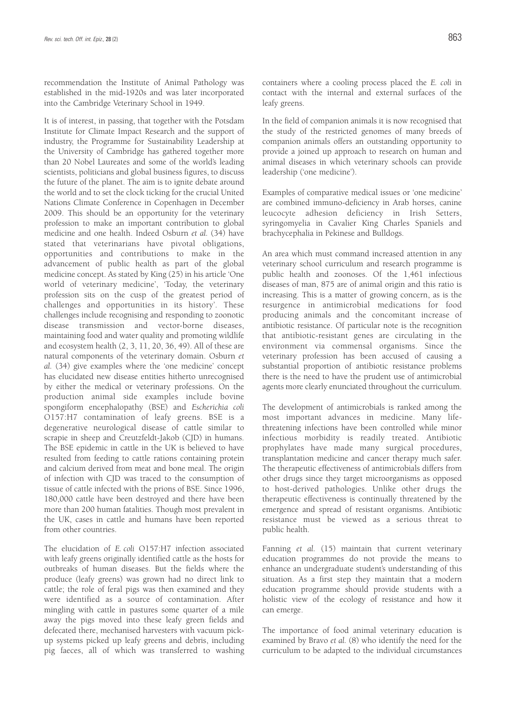recommendation the Institute of Animal Pathology was established in the mid-1920s and was later incorporated into the Cambridge Veterinary School in 1949.

It is of interest, in passing, that together with the Potsdam Institute for Climate Impact Research and the support of industry, the Programme for Sustainability Leadership at the University of Cambridge has gathered together more than 20 Nobel Laureates and some of the world's leading scientists, politicians and global business figures, to discuss the future of the planet. The aim is to ignite debate around the world and to set the clock ticking for the crucial United Nations Climate Conference in Copenhagen in December 2009. This should be an opportunity for the veterinary profession to make an important contribution to global medicine and one health. Indeed Osburn *et al.* (34) have stated that veterinarians have pivotal obligations, opportunities and contributions to make in the advancement of public health as part of the global medicine concept. As stated by King (25) in his article 'One world of veterinary medicine', 'Today, the veterinary profession sits on the cusp of the greatest period of challenges and opportunities in its history'. These challenges include recognising and responding to zoonotic disease transmission and vector-borne diseases, maintaining food and water quality and promoting wildlife and ecosystem health (2, 3, 11, 20, 36, 49). All of these are natural components of the veterinary domain. Osburn *et al.* (34) give examples where the 'one medicine' concept has elucidated new disease entities hitherto unrecognised by either the medical or veterinary professions. On the production animal side examples include bovine spongiform encephalopathy (BSE) and *Escherichia coli* O157:H7 contamination of leafy greens. BSE is a degenerative neurological disease of cattle similar to scrapie in sheep and Creutzfeldt-Jakob (CJD) in humans. The BSE epidemic in cattle in the UK is believed to have resulted from feeding to cattle rations containing protein and calcium derived from meat and bone meal. The origin of infection with CJD was traced to the consumption of tissue of cattle infected with the prions of BSE. Since 1996, 180,000 cattle have been destroyed and there have been more than 200 human fatalities. Though most prevalent in the UK, cases in cattle and humans have been reported from other countries.

The elucidation of *E. coli* O157:H7 infection associated with leafy greens originally identified cattle as the hosts for outbreaks of human diseases. But the fields where the produce (leafy greens) was grown had no direct link to cattle; the role of feral pigs was then examined and they were identified as a source of contamination. After mingling with cattle in pastures some quarter of a mile away the pigs moved into these leafy green fields and defecated there, mechanised harvesters with vacuum pickup systems picked up leafy greens and debris, including pig faeces, all of which was transferred to washing

containers where a cooling process placed the *E. coli* in contact with the internal and external surfaces of the leafy greens.

In the field of companion animals it is now recognised that the study of the restricted genomes of many breeds of companion animals offers an outstanding opportunity to provide a joined up approach to research on human and animal diseases in which veterinary schools can provide leadership ('one medicine').

Examples of comparative medical issues or 'one medicine' are combined immuno-deficiency in Arab horses, canine leucocyte adhesion deficiency in Irish Setters, syringomyelia in Cavalier King Charles Spaniels and brachycephalia in Pekinese and Bulldogs.

An area which must command increased attention in any veterinary school curriculum and research programme is public health and zoonoses. Of the 1,461 infectious diseases of man, 875 are of animal origin and this ratio is increasing. This is a matter of growing concern, as is the resurgence in antimicrobial medications for food producing animals and the concomitant increase of antibiotic resistance. Of particular note is the recognition that antibiotic-resistant genes are circulating in the environment via commensal organisms. Since the veterinary profession has been accused of causing a substantial proportion of antibiotic resistance problems there is the need to have the prudent use of antimicrobial agents more clearly enunciated throughout the curriculum.

The development of antimicrobials is ranked among the most important advances in medicine. Many lifethreatening infections have been controlled while minor infectious morbidity is readily treated. Antibiotic prophylates have made many surgical procedures, transplantation medicine and cancer therapy much safer. The therapeutic effectiveness of antimicrobials differs from other drugs since they target microorganisms as opposed to host-derived pathologies. Unlike other drugs the therapeutic effectiveness is continually threatened by the emergence and spread of resistant organisms. Antibiotic resistance must be viewed as a serious threat to public health.

Fanning *et al.* (15) maintain that current veterinary education programmes do not provide the means to enhance an undergraduate student's understanding of this situation. As a first step they maintain that a modern education programme should provide students with a holistic view of the ecology of resistance and how it can emerge.

The importance of food animal veterinary education is examined by Bravo *et al.* (8) who identify the need for the curriculum to be adapted to the individual circumstances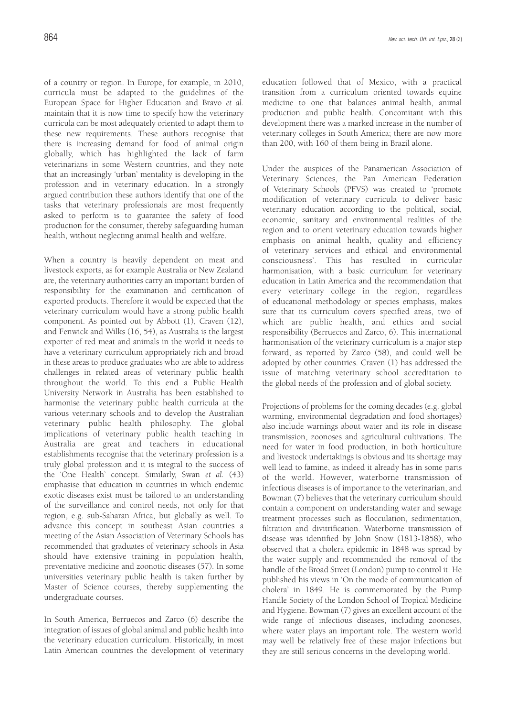of a country or region. In Europe, for example, in 2010, curricula must be adapted to the guidelines of the European Space for Higher Education and Bravo *et al.* maintain that it is now time to specify how the veterinary curricula can be most adequately oriented to adapt them to these new requirements. These authors recognise that there is increasing demand for food of animal origin globally, which has highlighted the lack of farm veterinarians in some Western countries, and they note that an increasingly 'urban' mentality is developing in the profession and in veterinary education. In a strongly argued contribution these authors identify that one of the tasks that veterinary professionals are most frequently asked to perform is to guarantee the safety of food production for the consumer, thereby safeguarding human health, without neglecting animal health and welfare.

When a country is heavily dependent on meat and livestock exports, as for example Australia or New Zealand are, the veterinary authorities carry an important burden of responsibility for the examination and certification of exported products. Therefore it would be expected that the veterinary curriculum would have a strong public health component. As pointed out by Abbott (1), Craven (12), and Fenwick and Wilks (16, 54), as Australia is the largest exporter of red meat and animals in the world it needs to have a veterinary curriculum appropriately rich and broad in these areas to produce graduates who are able to address challenges in related areas of veterinary public health throughout the world. To this end a Public Health University Network in Australia has been established to harmonise the veterinary public health curricula at the various veterinary schools and to develop the Australian veterinary public health philosophy. The global implications of veterinary public health teaching in Australia are great and teachers in educational establishments recognise that the veterinary profession is a truly global profession and it is integral to the success of the 'One Health' concept. Similarly, Swan *et al.* (43) emphasise that education in countries in which endemic exotic diseases exist must be tailored to an understanding of the surveillance and control needs, not only for that region, e.g. sub-Saharan Africa, but globally as well. To advance this concept in southeast Asian countries a meeting of the Asian Association of Veterinary Schools has recommended that graduates of veterinary schools in Asia should have extensive training in population health, preventative medicine and zoonotic diseases (57). In some universities veterinary public health is taken further by Master of Science courses, thereby supplementing the undergraduate courses.

In South America, Berruecos and Zarco (6) describe the integration of issues of global animal and public health into the veterinary education curriculum. Historically, in most Latin American countries the development of veterinary education followed that of Mexico, with a practical transition from a curriculum oriented towards equine medicine to one that balances animal health, animal production and public health. Concomitant with this development there was a marked increase in the number of veterinary colleges in South America; there are now more than 200, with 160 of them being in Brazil alone.

Under the auspices of the Panamerican Association of Veterinary Sciences, the Pan American Federation of Veterinary Schools (PFVS) was created to 'promote modification of veterinary curricula to deliver basic veterinary education according to the political, social, economic, sanitary and environmental realities of the region and to orient veterinary education towards higher emphasis on animal health, quality and efficiency of veterinary services and ethical and environmental consciousness'. This has resulted in curricular harmonisation, with a basic curriculum for veterinary education in Latin America and the recommendation that every veterinary college in the region, regardless of educational methodology or species emphasis, makes sure that its curriculum covers specified areas, two of which are public health, and ethics and social responsibility (Berruecos and Zarco, 6). This international harmonisation of the veterinary curriculum is a major step forward, as reported by Zarco (58), and could well be adopted by other countries. Craven (1) has addressed the issue of matching veterinary school accreditation to the global needs of the profession and of global society.

Projections of problems for the coming decades (e.g. global warming, environmental degradation and food shortages) also include warnings about water and its role in disease transmission, zoonoses and agricultural cultivations. The need for water in food production, in both horticulture and livestock undertakings is obvious and its shortage may well lead to famine, as indeed it already has in some parts of the world. However, waterborne transmission of infectious diseases is of importance to the veterinarian, and Bowman (7) believes that the veterinary curriculum should contain a component on understanding water and sewage treatment processes such as flocculation, sedimentation, filtration and divitrification. Waterborne transmission of disease was identified by John Snow (1813-1858), who observed that a cholera epidemic in 1848 was spread by the water supply and recommended the removal of the handle of the Broad Street (London) pump to control it. He published his views in 'On the mode of communication of cholera' in 1849. He is commemorated by the Pump Handle Society of the London School of Tropical Medicine and Hygiene. Bowman (7) gives an excellent account of the wide range of infectious diseases, including zoonoses, where water plays an important role. The western world may well be relatively free of these major infections but they are still serious concerns in the developing world.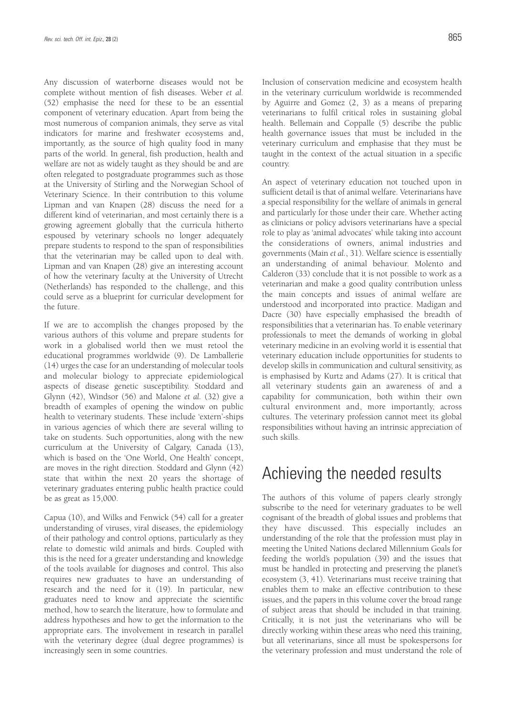Any discussion of waterborne diseases would not be complete without mention of fish diseases. Weber *et al.* (52) emphasise the need for these to be an essential component of veterinary education. Apart from being the most numerous of companion animals, they serve as vital indicators for marine and freshwater ecosystems and, importantly, as the source of high quality food in many parts of the world. In general, fish production, health and welfare are not as widely taught as they should be and are often relegated to postgraduate programmes such as those at the University of Stirling and the Norwegian School of Veterinary Science. In their contribution to this volume Lipman and van Knapen (28) discuss the need for a different kind of veterinarian, and most certainly there is a growing agreement globally that the curricula hitherto espoused by veterinary schools no longer adequately prepare students to respond to the span of responsibilities that the veterinarian may be called upon to deal with. Lipman and van Knapen (28) give an interesting account of how the veterinary faculty at the University of Utrecht (Netherlands) has responded to the challenge, and this could serve as a blueprint for curricular development for the future.

If we are to accomplish the changes proposed by the various authors of this volume and prepare students for work in a globalised world then we must retool the educational programmes worldwide (9). De Lamballerie (14) urges the case for an understanding of molecular tools and molecular biology to appreciate epidemiological aspects of disease genetic susceptibility. Stoddard and Glynn (42), Windsor (56) and Malone *et al.* (32) give a breadth of examples of opening the window on public health to veterinary students. These include 'extern'-ships in various agencies of which there are several willing to take on students. Such opportunities, along with the new curriculum at the University of Calgary, Canada (13), which is based on the 'One World, One Health' concept, are moves in the right direction. Stoddard and Glynn (42) state that within the next 20 years the shortage of veterinary graduates entering public health practice could be as great as 15,000.

Capua (10), and Wilks and Fenwick (54) call for a greater understanding of viruses, viral diseases, the epidemiology of their pathology and control options, particularly as they relate to domestic wild animals and birds. Coupled with this is the need for a greater understanding and knowledge of the tools available for diagnoses and control. This also requires new graduates to have an understanding of research and the need for it (19). In particular, new graduates need to know and appreciate the scientific method, how to search the literature, how to formulate and address hypotheses and how to get the information to the appropriate ears. The involvement in research in parallel with the veterinary degree (dual degree programmes) is increasingly seen in some countries.

Inclusion of conservation medicine and ecosystem health in the veterinary curriculum worldwide is recommended by Aguirre and Gomez (2, 3) as a means of preparing veterinarians to fulfil critical roles in sustaining global health. Bellemain and Coppalle (5) describe the public health governance issues that must be included in the veterinary curriculum and emphasise that they must be taught in the context of the actual situation in a specific country.

An aspect of veterinary education not touched upon in sufficient detail is that of animal welfare. Veterinarians have a special responsibility for the welfare of animals in general and particularly for those under their care. Whether acting as clinicians or policy advisors veterinarians have a special role to play as 'animal advocates' while taking into account the considerations of owners, animal industries and governments (Main *et al.*, 31). Welfare science is essentially an understanding of animal behaviour. Molento and Calderon (33) conclude that it is not possible to work as a veterinarian and make a good quality contribution unless the main concepts and issues of animal welfare are understood and incorporated into practice. Madigan and Dacre (30) have especially emphasised the breadth of responsibilities that a veterinarian has. To enable veterinary professionals to meet the demands of working in global veterinary medicine in an evolving world it is essential that veterinary education include opportunities for students to develop skills in communication and cultural sensitivity, as is emphasised by Kurtz and Adams (27). It is critical that all veterinary students gain an awareness of and a capability for communication, both within their own cultural environment and, more importantly, across cultures. The veterinary profession cannot meet its global responsibilities without having an intrinsic appreciation of such skills.

### Achieving the needed results

The authors of this volume of papers clearly strongly subscribe to the need for veterinary graduates to be well cognisant of the breadth of global issues and problems that they have discussed. This especially includes an understanding of the role that the profession must play in meeting the United Nations declared Millennium Goals for feeding the world's population (39) and the issues that must be handled in protecting and preserving the planet's ecosystem (3, 41). Veterinarians must receive training that enables them to make an effective contribution to these issues, and the papers in this volume cover the broad range of subject areas that should be included in that training. Critically, it is not just the veterinarians who will be directly working within these areas who need this training, but all veterinarians, since all must be spokespersons for the veterinary profession and must understand the role of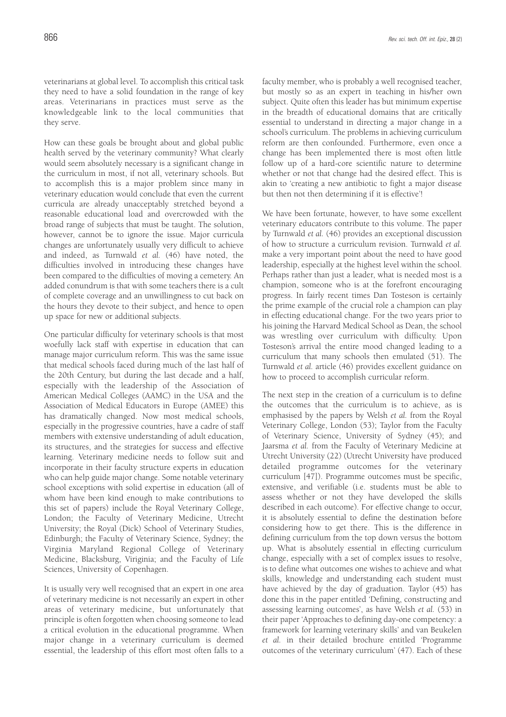veterinarians at global level. To accomplish this critical task they need to have a solid foundation in the range of key areas. Veterinarians in practices must serve as the knowledgeable link to the local communities that they serve.

How can these goals be brought about and global public health served by the veterinary community? What clearly would seem absolutely necessary is a significant change in the curriculum in most, if not all, veterinary schools. But to accomplish this is a major problem since many in veterinary education would conclude that even the current curricula are already unacceptably stretched beyond a reasonable educational load and overcrowded with the broad range of subjects that must be taught. The solution, however, cannot be to ignore the issue. Major curricula changes are unfortunately usually very difficult to achieve and indeed, as Turnwald *et al.* (46) have noted, the difficulties involved in introducing these changes have been compared to the difficulties of moving a cemetery. An added conundrum is that with some teachers there is a cult of complete coverage and an unwillingness to cut back on the hours they devote to their subject, and hence to open up space for new or additional subjects.

One particular difficulty for veterinary schools is that most woefully lack staff with expertise in education that can manage major curriculum reform. This was the same issue that medical schools faced during much of the last half of the 20th Century, but during the last decade and a half, especially with the leadership of the Association of American Medical Colleges (AAMC) in the USA and the Association of Medical Educators in Europe (AMEE) this has dramatically changed. Now most medical schools, especially in the progressive countries, have a cadre of staff members with extensive understanding of adult education, its structures, and the strategies for success and effective learning. Veterinary medicine needs to follow suit and incorporate in their faculty structure experts in education who can help guide major change. Some notable veterinary school exceptions with solid expertise in education (all of whom have been kind enough to make contributions to this set of papers) include the Royal Veterinary College, London; the Faculty of Veterinary Medicine, Utrecht University; the Royal (Dick) School of Veterinary Studies, Edinburgh; the Faculty of Veterinary Science, Sydney; the Virginia Maryland Regional College of Veterinary Medicine, Blacksburg, Viriginia; and the Faculty of Life Sciences, University of Copenhagen.

It is usually very well recognised that an expert in one area of veterinary medicine is not necessarily an expert in other areas of veterinary medicine, but unfortunately that principle is often forgotten when choosing someone to lead a critical evolution in the educational programme. When major change in a veterinary curriculum is deemed essential, the leadership of this effort most often falls to a

faculty member, who is probably a well recognised teacher, but mostly so as an expert in teaching in his/her own subject. Quite often this leader has but minimum expertise in the breadth of educational domains that are critically essential to understand in directing a major change in a school's curriculum. The problems in achieving curriculum reform are then confounded. Furthermore, even once a change has been implemented there is most often little follow up of a hard-core scientific nature to determine whether or not that change had the desired effect. This is akin to 'creating a new antibiotic to fight a major disease but then not then determining if it is effective'!

We have been fortunate, however, to have some excellent veterinary educators contribute to this volume. The paper by Turnwald *et al.* (46) provides an exceptional discussion of how to structure a curriculum revision. Turnwald *et al.* make a very important point about the need to have good leadership, especially at the highest level within the school. Perhaps rather than just a leader, what is needed most is a champion, someone who is at the forefront encouraging progress. In fairly recent times Dan Tosteson is certainly the prime example of the crucial role a champion can play in effecting educational change. For the two years prior to his joining the Harvard Medical School as Dean, the school was wrestling over curriculum with difficulty. Upon Tosteson's arrival the entire mood changed leading to a curriculum that many schools then emulated (51). The Turnwald *et al.* article (46) provides excellent guidance on how to proceed to accomplish curricular reform.

The next step in the creation of a curriculum is to define the outcomes that the curriculum is to achieve, as is emphasised by the papers by Welsh *et al.* from the Royal Veterinary College, London (53); Taylor from the Faculty of Veterinary Science, University of Sydney (45); and Jaarsma *et al.* from the Faculty of Veterinary Medicine at Utrecht University (22) (Utrecht University have produced detailed programme outcomes for the veterinary curriculum [47]). Programme outcomes must be specific, extensive, and verifiable (i.e. students must be able to assess whether or not they have developed the skills described in each outcome). For effective change to occur, it is absolutely essential to define the destination before considering how to get there. This is the difference in defining curriculum from the top down versus the bottom up. What is absolutely essential in effecting curriculum change, especially with a set of complex issues to resolve, is to define what outcomes one wishes to achieve and what skills, knowledge and understanding each student must have achieved by the day of graduation. Taylor (45) has done this in the paper entitled 'Defining, constructing and assessing learning outcomes', as have Welsh *et al.* (53) in their paper 'Approaches to defining day-one competency: a framework for learning veterinary skills' and van Beukelen *et al.* in their detailed brochure entitled 'Programme outcomes of the veterinary curriculum' (47). Each of these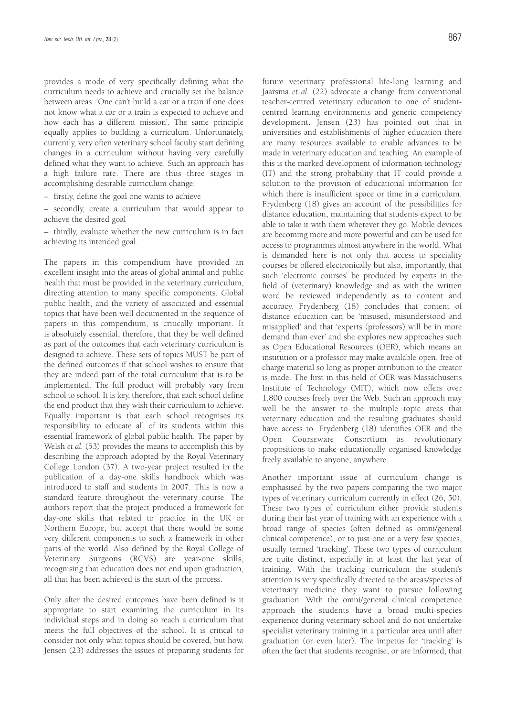provides a mode of very specifically defining what the curriculum needs to achieve and crucially set the balance between areas. 'One can't build a car or a train if one does not know what a car or a train is expected to achieve and how each has a different mission'. The same principle equally applies to building a curriculum. Unfortunately, currently, very often veterinary school faculty start defining changes in a curriculum without having very carefully defined what they want to achieve. Such an approach has a high failure rate. There are thus three stages in accomplishing desirable curriculum change:

– firstly, define the goal one wants to achieve

– secondly, create a curriculum that would appear to achieve the desired goal

– thirdly, evaluate whether the new curriculum is in fact achieving its intended goal.

The papers in this compendium have provided an excellent insight into the areas of global animal and public health that must be provided in the veterinary curriculum, directing attention to many specific components. Global public health, and the variety of associated and essential topics that have been well documented in the sequence of papers in this compendium, is critically important. It is absolutely essential, therefore, that they be well defined as part of the outcomes that each veterinary curriculum is designed to achieve. These sets of topics MUST be part of the defined outcomes if that school wishes to ensure that they are indeed part of the total curriculum that is to be implemented. The full product will probably vary from school to school. It is key, therefore, that each school define the end product that they wish their curriculum to achieve. Equally important is that each school recognises its responsibility to educate all of its students within this essential framework of global public health. The paper by Welsh *et al.* (53) provides the means to accomplish this by describing the approach adopted by the Royal Veterinary College London (37). A two-year project resulted in the publication of a day-one skills handbook which was introduced to staff and students in 2007. This is now a standard feature throughout the veterinary course. The authors report that the project produced a framework for day-one skills that related to practice in the UK or Northern Europe, but accept that there would be some very different components to such a framework in other parts of the world. Also defined by the Royal College of Veterinary Surgeons (RCVS) are year-one skills, recognising that education does not end upon graduation, all that has been achieved is the start of the process.

Only after the desired outcomes have been defined is it appropriate to start examining the curriculum in its individual steps and in doing so reach a curriculum that meets the full objectives of the school. It is critical to consider not only what topics should be covered, but how. Jensen (23) addresses the issues of preparing students for

future veterinary professional life-long learning and Jaarsma *et al.* (22) advocate a change from conventional teacher-centred veterinary education to one of studentcentred learning environments and generic competency development. Jensen (23) has pointed out that in universities and establishments of higher education there are many resources available to enable advances to be made in veterinary education and teaching. An example of this is the marked development of information technology (IT) and the strong probability that IT could provide a solution to the provision of educational information for which there is insufficient space or time in a curriculum. Frydenberg (18) gives an account of the possibilities for distance education, maintaining that students expect to be able to take it with them wherever they go. Mobile devices are becoming more and more powerful and can be used for access to programmes almost anywhere in the world. What is demanded here is not only that access to speciality courses be offered electronically but also, importantly, that such 'electronic courses' be produced by experts in the field of (veterinary) knowledge and as with the written word be reviewed independently as to content and accuracy. Frydenberg (18) concludes that content of distance education can be 'misused, misunderstood and misapplied' and that 'experts (professors) will be in more demand than ever' and she explores new approaches such as Open Educational Resources (OER), which means an institution or a professor may make available open, free of charge material so long as proper attribution to the creator is made. The first in this field of OER was Massachusetts Institute of Technology (MIT), which now offers over 1,800 courses freely over the Web. Such an approach may well be the answer to the multiple topic areas that veterinary education and the resulting graduates should have access to. Frydenberg (18) identifies OER and the Open Courseware Consortium as revolutionary propositions to make educationally organised knowledge freely available to anyone, anywhere.

Another important issue of curriculum change is emphasised by the two papers comparing the two major types of veterinary curriculum currently in effect (26, 50). These two types of curriculum either provide students during their last year of training with an experience with a broad range of species (often defined as omni/general clinical competence), or to just one or a very few species, usually termed 'tracking'. These two types of curriculum are quite distinct, especially in at least the last year of training. With the tracking curriculum the student's attention is very specifically directed to the areas/species of veterinary medicine they want to pursue following graduation. With the omni/general clinical competence approach the students have a broad multi-species experience during veterinary school and do not undertake specialist veterinary training in a particular area until after graduation (or even later). The impetus for 'tracking' is often the fact that students recognise, or are informed, that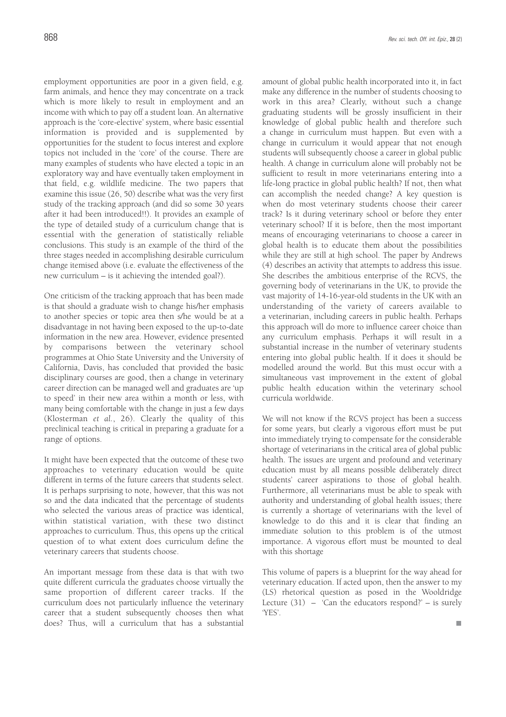employment opportunities are poor in a given field, e.g. farm animals, and hence they may concentrate on a track which is more likely to result in employment and an income with which to pay off a student loan. An alternative approach is the 'core-elective' system, where basic essential information is provided and is supplemented by opportunities for the student to focus interest and explore topics not included in the 'core' of the course. There are many examples of students who have elected a topic in an exploratory way and have eventually taken employment in that field, e.g. wildlife medicine. The two papers that examine this issue (26, 50) describe what was the very first study of the tracking approach (and did so some 30 years after it had been introduced!!). It provides an example of the type of detailed study of a curriculum change that is essential with the generation of statistically reliable conclusions. This study is an example of the third of the three stages needed in accomplishing desirable curriculum change itemised above (i.e. evaluate the effectiveness of the new curriculum – is it achieving the intended goal?).

One criticism of the tracking approach that has been made is that should a graduate wish to change his/her emphasis to another species or topic area then s/he would be at a disadvantage in not having been exposed to the up-to-date information in the new area. However, evidence presented by comparisons between the veterinary school programmes at Ohio State University and the University of California, Davis, has concluded that provided the basic disciplinary courses are good, then a change in veterinary career direction can be managed well and graduates are 'up to speed' in their new area within a month or less, with many being comfortable with the change in just a few days (Klosterman *et al.*, 26). Clearly the quality of this preclinical teaching is critical in preparing a graduate for a range of options.

It might have been expected that the outcome of these two approaches to veterinary education would be quite different in terms of the future careers that students select. It is perhaps surprising to note, however, that this was not so and the data indicated that the percentage of students who selected the various areas of practice was identical, within statistical variation, with these two distinct approaches to curriculum. Thus, this opens up the critical question of to what extent does curriculum define the veterinary careers that students choose.

An important message from these data is that with two quite different curricula the graduates choose virtually the same proportion of different career tracks. If the curriculum does not particularly influence the veterinary career that a student subsequently chooses then what does? Thus, will a curriculum that has a substantial amount of global public health incorporated into it, in fact make any difference in the number of students choosing to work in this area? Clearly, without such a change graduating students will be grossly insufficient in their knowledge of global public health and therefore such a change in curriculum must happen. But even with a change in curriculum it would appear that not enough students will subsequently choose a career in global public health. A change in curriculum alone will probably not be sufficient to result in more veterinarians entering into a life-long practice in global public health? If not, then what can accomplish the needed change? A key question is when do most veterinary students choose their career track? Is it during veterinary school or before they enter veterinary school? If it is before, then the most important means of encouraging veterinarians to choose a career in global health is to educate them about the possibilities while they are still at high school. The paper by Andrews (4) describes an activity that attempts to address this issue. She describes the ambitious enterprise of the RCVS, the governing body of veterinarians in the UK, to provide the vast majority of 14-16-year-old students in the UK with an understanding of the variety of careers available to a veterinarian, including careers in public health. Perhaps this approach will do more to influence career choice than any curriculum emphasis. Perhaps it will result in a substantial increase in the number of veterinary students entering into global public health. If it does it should be modelled around the world. But this must occur with a simultaneous vast improvement in the extent of global public health education within the veterinary school curricula worldwide.

We will not know if the RCVS project has been a success for some years, but clearly a vigorous effort must be put into immediately trying to compensate for the considerable shortage of veterinarians in the critical area of global public health. The issues are urgent and profound and veterinary education must by all means possible deliberately direct students' career aspirations to those of global health. Furthermore, all veterinarians must be able to speak with authority and understanding of global health issues; there is currently a shortage of veterinarians with the level of knowledge to do this and it is clear that finding an immediate solution to this problem is of the utmost importance. A vigorous effort must be mounted to deal with this shortage

This volume of papers is a blueprint for the way ahead for veterinary education. If acted upon, then the answer to my (LS) rhetorical question as posed in the Wooldridge Lecture  $(31)$  – 'Can the educators respond?' – is surely 'YES'.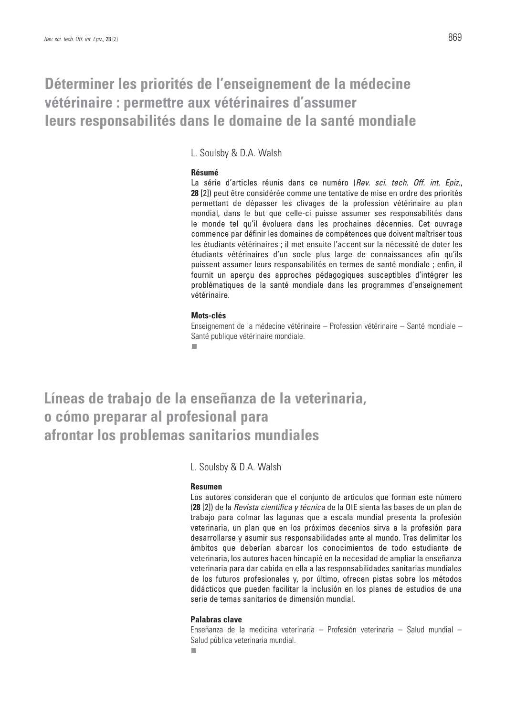# **Déterminer les priorités de l'enseignement de la médecine vétérinaire : permettre aux vétérinaires d'assumer leurs responsabilités dans le domaine de la santé mondiale**

L. Soulsby & D.A. Walsh

#### **Résumé**

La série d'articles réunis dans ce numéro (*Rev. sci. tech. Off. int. Epiz.*, **28** [2]) peut être considérée comme une tentative de mise en ordre des priorités permettant de dépasser les clivages de la profession vétérinaire au plan mondial, dans le but que celle-ci puisse assumer ses responsabilités dans le monde tel qu'il évoluera dans les prochaines décennies. Cet ouvrage commence par définir les domaines de compétences que doivent maîtriser tous les étudiants vétérinaires ; il met ensuite l'accent sur la nécessité de doter les étudiants vétérinaires d'un socle plus large de connaissances afin qu'ils puissent assumer leurs responsabilités en termes de santé mondiale ; enfin, il fournit un aperçu des approches pédagogiques susceptibles d'intégrer les problématiques de la santé mondiale dans les programmes d'enseignement vétérinaire.

#### **Mots-clés**

Enseignement de la médecine vétérinaire – Profession vétérinaire – Santé mondiale – Santé publique vétérinaire mondiale. п

**Líneas de trabajo de la enseñanza de la veterinaria, o cómo preparar al profesional para afrontar los problemas sanitarios mundiales**

L. Soulsby & D.A. Walsh

#### **Resumen**

Los autores consideran que el conjunto de artículos que forman este número (**28** [2]) de la *Revista científica y técnica* de la OIE sienta las bases de un plan de trabajo para colmar las lagunas que a escala mundial presenta la profesión veterinaria, un plan que en los próximos decenios sirva a la profesión para desarrollarse y asumir sus responsabilidades ante al mundo. Tras delimitar los ámbitos que deberían abarcar los conocimientos de todo estudiante de veterinaria, los autores hacen hincapié en la necesidad de ampliar la enseñanza veterinaria para dar cabida en ella a las responsabilidades sanitarias mundiales de los futuros profesionales y, por último, ofrecen pistas sobre los métodos didácticos que pueden facilitar la inclusión en los planes de estudios de una serie de temas sanitarios de dimensión mundial.

#### **Palabras clave**

Enseñanza de la medicina veterinaria – Profesión veterinaria – Salud mundial – Salud pública veterinaria mundial.п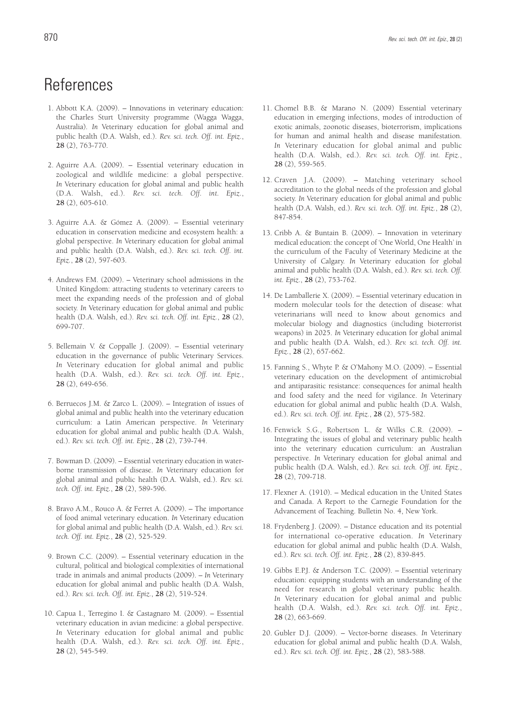# References

- 1. Abbott K.A. (2009). Innovations in veterinary education: the Charles Sturt University programme (Wagga Wagga, Australia). *In* Veterinary education for global animal and public health (D.A. Walsh, ed.). *Rev. sci. tech. Off. int. Epiz.*, **28** (2), 763-770.
- 2. Aguirre A.A. (2009). Essential veterinary education in zoological and wildlife medicine: a global perspective. *In* Veterinary education for global animal and public health (D.A. Walsh, ed.). *Rev. sci. tech. Off. int. Epiz.*, **28** (2), 605-610.
- 3. Aguirre A.A. & Gómez A. (2009). Essential veterinary education in conservation medicine and ecosystem health: a global perspective. *In* Veterinary education for global animal and public health (D.A. Walsh, ed.). *Rev. sci. tech. Off. int. Epiz.*, **28** (2), 597-603.
- 4. Andrews F.M. (2009). Veterinary school admissions in the United Kingdom: attracting students to veterinary careers to meet the expanding needs of the profession and of global society. *In* Veterinary education for global animal and public health (D.A. Walsh, ed.). *Rev. sci. tech. Off. int. Epiz.*, **28** (2), 699-707.
- 5. Bellemain V. & Coppalle J. (2009). Essential veterinary education in the governance of public Veterinary Services. *In* Veterinary education for global animal and public health (D.A. Walsh, ed.). *Rev. sci. tech. Off. int. Epiz.*, **28** (2), 649-656.
- 6. Berruecos J.M. & Zarco L. (2009). Integration of issues of global animal and public health into the veterinary education curriculum: a Latin American perspective. *In* Veterinary education for global animal and public health (D.A. Walsh, ed.). *Rev. sci. tech. Off. int. Epiz.*, **28** (2), 739-744.
- 7. Bowman D. (2009). Essential veterinary education in waterborne transmission of disease. *In* Veterinary education for global animal and public health (D.A. Walsh, ed.). *Rev. sci. tech. Off. int. Epiz.*, **28** (2), 589-596.
- 8. Bravo A.M., Rouco A. & Ferret A. (2009). The importance of food animal veterinary education. *In* Veterinary education for global animal and public health (D.A. Walsh, ed.). *Rev. sci. tech. Off. int. Epiz.*, **28** (2), 525-529.
- 9. Brown C.C. (2009). Essential veterinary education in the cultural, political and biological complexities of international trade in animals and animal products (2009). – *In* Veterinary education for global animal and public health (D.A. Walsh, ed.). *Rev. sci. tech. Off. int. Epiz.*, **28** (2), 519-524.
- 10. Capua I., Terregino I. & Castagnaro M. (2009). Essential veterinary education in avian medicine: a global perspective. *In* Veterinary education for global animal and public health (D.A. Walsh, ed.). *Rev. sci. tech. Off. int. Epiz.*, **28** (2), 545-549.
- 11. Chomel B.B. & Marano N. (2009) Essential veterinary education in emerging infections, modes of introduction of exotic animals, zoonotic diseases, bioterrorism, implications for human and animal health and disease manifestation. *In* Veterinary education for global animal and public health (D.A. Walsh, ed.). *Rev. sci. tech. Off. int. Epiz.*, **28** (2), 559-565.
- 12. Craven J.A. (2009). Matching veterinary school accreditation to the global needs of the profession and global society. *In* Veterinary education for global animal and public health (D.A. Walsh, ed.). *Rev. sci. tech. Off. int. Epiz.*, **28** (2), 847-854.
- 13. Cribb A. & Buntain B. (2009). Innovation in veterinary medical education: the concept of 'One World, One Health' in the curriculum of the Faculty of Veterinary Medicine at the University of Calgary. *In* Veterinary education for global animal and public health (D.A. Walsh, ed.). *Rev. sci. tech. Off. int. Epiz.*, **28** (2), 753-762.
- 14. De Lamballerie X. (2009). Essential veterinary education in modern molecular tools for the detection of disease: what veterinarians will need to know about genomics and molecular biology and diagnostics (including bioterrorist weapons) in 2025. *In* Veterinary education for global animal and public health (D.A. Walsh, ed.). *Rev. sci. tech. Off. int. Epiz.*, **28** (2), 657-662.
- 15. Fanning S., Whyte P. & O'Mahony M.O. (2009). Essential veterinary education on the development of antimicrobial and antiparasitic resistance: consequences for animal health and food safety and the need for vigilance. *In* Veterinary education for global animal and public health (D.A. Walsh, ed.). *Rev. sci. tech. Off. int. Epiz.*, **28** (2), 575-582.
- 16. Fenwick S.G., Robertson L. & Wilks C.R. (2009). Integrating the issues of global and veterinary public health into the veterinary education curriculum: an Australian perspective. *In* Veterinary education for global animal and public health (D.A. Walsh, ed.). *Rev. sci. tech. Off. int. Epiz.*, **28** (2), 709-718.
- 17. Flexner A. (1910). Medical education in the United States and Canada. A Report to the Carnegie Foundation for the Advancement of Teaching. Bulletin No. 4, New York.
- 18. Frydenberg J. (2009). Distance education and its potential for international co-operative education. *In* Veterinary education for global animal and public health (D.A. Walsh, ed.). *Rev. sci. tech. Off. int. Epiz.*, **28** (2), 839-845.
- 19. Gibbs E.P.J. & Anderson T.C. (2009). Essential veterinary education: equipping students with an understanding of the need for research in global veterinary public health. *In* Veterinary education for global animal and public health (D.A. Walsh, ed.). *Rev. sci. tech. Off. int. Epiz.*, **28** (2), 663-669.
- 20. Gubler D.J. (2009). Vector-borne diseases. *In* Veterinary education for global animal and public health (D.A. Walsh, ed.). *Rev. sci. tech. Off. int. Epiz.*, **28** (2), 583-588.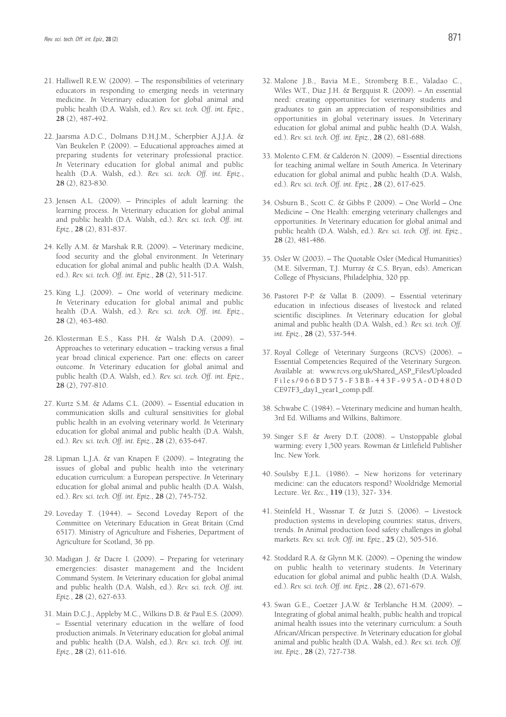- 21. Halliwell R.E.W. (2009). The responsibilities of veterinary educators in responding to emerging needs in veterinary medicine. *In* Veterinary education for global animal and public health (D.A. Walsh, ed.). *Rev. sci. tech. Off. int. Epiz.*, **28** (2), 487-492.
- 22. Jaarsma A.D.C., Dolmans D.H.J.M., Scherpbier A.J.J.A. & Van Beukelen P. (2009). – Educational approaches aimed at preparing students for veterinary professional practice. *In* Veterinary education for global animal and public health (D.A. Walsh, ed.). *Rev. sci. tech. Off. int. Epiz.*, **28** (2), 823-830.
- 23. Jensen A.L. (2009). Principles of adult learning: the learning process. *In* Veterinary education for global animal and public health (D.A. Walsh, ed.). *Rev. sci. tech. Off. int. Epiz.*, **28** (2), 831-837.
- 24. Kelly A.M. & Marshak R.R. (2009). Veterinary medicine, food security and the global environment. *In* Veterinary education for global animal and public health (D.A. Walsh, ed.). *Rev. sci. tech. Off. int. Epiz.*, **28** (2), 511-517.
- 25. King L.J. (2009). One world of veterinary medicine. *In* Veterinary education for global animal and public health (D.A. Walsh, ed.). *Rev. sci. tech. Off. int. Epiz.*, **28** (2), 463-480.
- 26. Klosterman E.S., Kass P.H. & Walsh D.A. (2009). Approaches to veterinary education – tracking versus a final year broad clinical experience. Part one: effects on career outcome. *In* Veterinary education for global animal and public health (D.A. Walsh, ed.). *Rev. sci. tech. Off. int. Epiz.*, **28** (2), 797-810.
- 27. Kurtz S.M. & Adams C.L. (2009). Essential education in communication skills and cultural sensitivities for global public health in an evolving veterinary world. *In* Veterinary education for global animal and public health (D.A. Walsh, ed.). *Rev. sci. tech. Off. int. Epiz.*, **28** (2), 635-647.
- 28. Lipman L.J.A. & van Knapen F. (2009). Integrating the issues of global and public health into the veterinary education curriculum: a European perspective. *In* Veterinary education for global animal and public health (D.A. Walsh, ed.). *Rev. sci. tech. Off. int. Epiz.*, **28** (2), 745-752.
- 29. Loveday T. (1944). Second Loveday Report of the Committee on Veterinary Education in Great Britain (Cmd 6517). Ministry of Agriculture and Fisheries, Department of Agriculture for Scotland, 36 pp.
- 30. Madigan J. & Dacre I. (2009). Preparing for veterinary emergencies: disaster management and the Incident Command System. *In* Veterinary education for global animal and public health (D.A. Walsh, ed.). *Rev. sci. tech. Off. int. Epiz.*, **28** (2), 627-633.
- 31. Main D.C.J., Appleby M.C., Wilkins D.B. & Paul E.S. (2009). – Essential veterinary education in the welfare of food production animals. *In* Veterinary education for global animal and public health (D.A. Walsh, ed.). *Rev. sci. tech. Off. int. Epiz.*, **28** (2), 611-616.
- 32. Malone J.B., Bavia M.E., Stromberg B.E., Valadao C., Wiles W.T., Diaz J.H. & Bergquist R. (2009). – An essential need: creating opportunities for veterinary students and graduates to gain an appreciation of responsibilities and opportunities in global veterinary issues. *In* Veterinary education for global animal and public health (D.A. Walsh, ed.). *Rev. sci. tech. Off. int. Epiz.*, **28** (2), 681-688.
- 33. Molento C.F.M. & Calderón N. (2009). Essential directions for teaching animal welfare in South America. *In* Veterinary education for global animal and public health (D.A. Walsh, ed.). *Rev. sci. tech. Off. int. Epiz.*, **28** (2), 617-625.
- 34. Osburn B., Scott C. & Gibbs P. (2009). One World One Medicine – One Health: emerging veterinary challenges and opportunities. *In* Veterinary education for global animal and public health (D.A. Walsh, ed.). *Rev. sci. tech. Off. int. Epiz.*, **28** (2), 481-486.
- 35. Osler W. (2003). The Quotable Osler (Medical Humanities) (M.E. Silverman, T.J. Murray & C.S. Bryan, eds). American College of Physicians, Philadelphia, 320 pp.
- 36. Pastoret P-P. & Vallat B. (2009). Essential veterinary education in infectious diseases of livestock and related scientific disciplines. *In* Veterinary education for global animal and public health (D.A. Walsh, ed.). *Rev. sci. tech. Off. int. Epiz.*, **28** (2), 537-544.
- 37. Royal College of Veterinary Surgeons (RCVS) (2006). Essential Competencies Required of the Veterinary Surgeon. Available at: www.rcvs.org.uk/Shared\_ASP\_Files/Uploaded Files/966BD575-F3BB-443F-995A-0D480D CE97F3\_day1\_year1\_comp.pdf.
- 38. Schwabe C. (1984). Veterinary medicine and human health, 3rd Ed. Williams and Wilkins, Baltimore.
- 39. Singer S.F. & Avery D.T. (2008). Unstoppable global warming: every 1,500 years. Rowman & Littlefield Publisher Inc. New York.
- 40. Soulsby E.J.L. (1986). New horizons for veterinary medicine: can the educators respond? Wooldridge Memorial Lecture. *Vet. Rec.*, **119** (13), 327- 334.
- 41. Steinfeld H., Wassnar T. & Jutzi S. (2006). Livestock production systems in developing countries: status, drivers, trends. *In* Animal production food safety challenges in global markets. *Rev. sci. tech. Off. int. Epiz.*, **25** (2), 505-516.
- 42. Stoddard R.A. & Glynn M.K. (2009). Opening the window on public health to veterinary students. *In* Veterinary education for global animal and public health (D.A. Walsh, ed.). *Rev. sci. tech. Off. int. Epiz.*, **28** (2), 671-679.
- 43. Swan G.E., Coetzer J.A.W. & Terblanche H.M. (2009). Integrating of global animal health, public health and tropical animal health issues into the veterinary curriculum: a South African/African perspective. *In* Veterinary education for global animal and public health (D.A. Walsh, ed.). *Rev. sci. tech. Off. int. Epiz.*, **28** (2), 727-738.